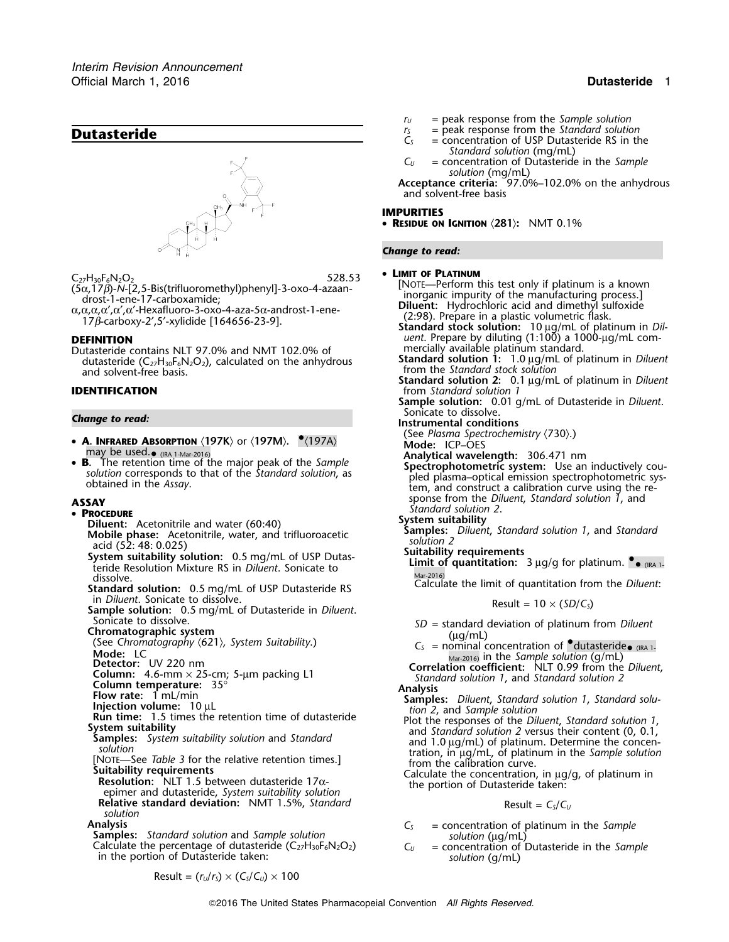

Dutasteride contains NLT 97.0% and NMT 102.0% of mercially available platinum standard.<br>dutasteride (C<sub>27</sub>H<sub>30</sub>F<sub>6</sub>N<sub>2</sub>O<sub>2</sub>), calculated on the anhydrous **Standard solution 1:** 1.0 µg/mL of platinum in *Diluent* dutasteride (C<sub>27</sub>H<sub>30</sub>F<sub>6</sub>N<sub>2</sub>O<sub>2</sub>), calculated on the anhydrous<br>and solvent-free basis.

- **A. INFRARED ABSORPTION**  $\langle 197K \rangle$  or  $\langle 197M \rangle$ . • $\langle 197A \rangle$ may be used.<sub>• (IRA 1-Mar-2016)</sub> **Analytical wavelength:** 306.471 nm<br>• **B** The retention time of the major peak of the Sample **B Analytical wavelength:** 306.471 nm
	- **Analytical wavelength:** 306.471 nm<br> **B.** The retention time of the major peak of the *Sample*<br>
	solution corresponds to that of the *Standard solution*, as<br>
	obtained in the *Assay*.<br>
	obtained in the *Assay*.<br>
	obtained in t

- 
- ensive primate Accomments, which, and dimagnodecute and solution 2<br>acid (52: 48: 0.025)<br>System suitability solution: 0.5 mg/mL of USP Dutas-<br>Limit of quantitation:
- teride Resolution Mixture RS in *Diluent*. Sonicate to
- dissolve.<br> **Standard solution:** 0.5 mg/mL of USP Dutasteride RS<br>
in *Diluent*. Sonicate to dissolve.<br>
in *Diluent*. Sonicate to dissolve.
- In *Diluent*. Sonicate to dissolve.<br> **Sample solution:** 0.5 mg/mL of Dutasteride in *Diluent*.<br>
Sonicate to dissolve. Sonicate to dissolve.
- 
- 
- 
- 
- 
- 
- 
- 
- 
- 
- **Relative standard deviation:** NMT 1.5%, *Standard* Result =  $C_s/C_U$ *solution*

**Analysis**<br> **Samples:** Standard solution and Sample solution<br>
C<sub>S</sub> = concentration of platinum in the Sample<br>
calculate the percentage of dutasteride (C<sub>27</sub>H<sub>30</sub>F<sub>6</sub>N<sub>2</sub>O<sub>2</sub>)<br>
in the portion of Dutasteride taken:<br>
in the

$$
r_U = peak response from the Sample solution
$$

- **Dutasteride Dutasteride C**<sub>*S*</sub>  $=$  peak response from the *Standard solution*  $C_S$  = concentration of USP Dutasteride RS in the
	- *Standard solution* (mg/mL)
	- *C<sup>U</sup>* = concentration of Dutasteride in the *Sample solution* (mg/mL)

**Acceptance criteria:** 97.0%–102.0% on the anhydrous and solvent-free basis

## **IMPURITIES**

• **RESIDUE ON IGNITION** 〈**281**〉**:** NMT 0.1%

*Change to read:*

### •

 $C_{27}H_{30}F_6N_2O_2$ <br>  $(5\alpha, 17\beta)$ -N-[2,5-Bis(trifluoromethyl)phenyl]-3-oxo-4-azaan-<br>  $\alpha, \alpha, \alpha, \alpha', \alpha', \alpha'$ -Hexafluoromethyl)phenyl]-3-oxo-4-azaan-<br>  $\alpha, \alpha, \alpha, \alpha, \alpha'$ , at the manufacturing process.]<br>  $\alpha, \alpha, \alpha, \alpha, \alpha'$ , a

**DEFINITION** *uent*. Prepare by diluting (1:100) a 1000-µg/mL com-

from the *Standard stock solution* 

**Standard solution 2:** 0.1 µg/mL of platinum in *Diluent* **IDENTIFICATION** *IDENTIFICATION IDENTIFICATION* 

**Sample solution:** 0.01 g/mL of Dutasteride in *Diluent*. Sonicate to dissolve. *Change to read:* **Instrumental conditions**

(See *Plasma Spectrochemistry (730).*)<br>Mode: ICP-OES

- 
- 
- **ASSAY**<br>  **PROCEDURE**<br>  **PROCEDURE**<br> **System suitability**<br> **System suitability**

- **Piluent:** Acetonitrile and water (60:40)<br>**Mobile phase:** Acetonitrile, water, and trifluoroacetic **Samples:** Diluent, Standard solution 1, and Standard
	- - **Limit of quantitation:**  $3 \mu g/g$  for platinum.  $\bullet$  (IRA 1.

- 
- Sonicate to dissolve.<br>
Chromatographic system<br>
(See Chromatography (621), System Suitability.)<br>
Mode: LC<br>
Detector: UV 220 nm
	-

- 
- Mode: LC<br>
Detector: UV 220 nm<br>
C<sub>S</sub> = nm/maximum: A.6.<br>
Detector: UV 220 nm<br>
Column: 4.6.<br>
Column: temperature: 35°<br>
Column: temperature: 35°<br>
Flow rate: 1 ml/min<br>
Column: temperature: 35°<br>
Flow rate: 1 ml/min<br>
Run temper

- 
-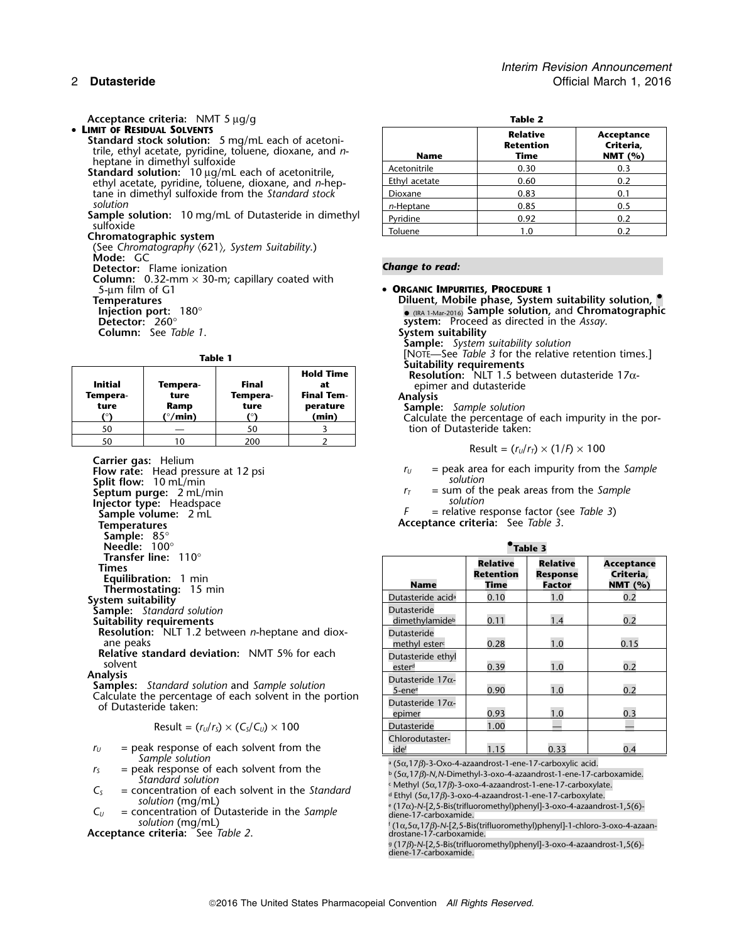**Acceptance criteria:** NMT 5  $\mu$ g/g **Table 2 Table 2 Table 2** • LIMIT OF RESIDUAL SOLVENTS

- **Standard stock solution:** 5 mg/mL each of acetonitrile, ethyl acetate, pyridine, toluene, dioxane, and *n*-<br>heptane in dimethyl sulfoxide<br>**Standard solution:** 10  $\mu$ g/mL each of acetonitrile,
	- ethyl acetate, pyridine, toluene, dioxane, and *n*-heptane in dimethyl sulfoxide from the *Standard stock* solution *solution n***-Heptane 1 0.85 0.5** 0.5
- **Sample solution:** 10 mg/mL of Dutasteride in dimethyl sulfoxide<br>sulfoxide<br>Chromatographic system
- 

(See *Chromatography* 〈621〉*, System Suitability*.) **Mode:** GC

**Detector:** Flame ionization **Change to read:** 

**Column:** 0.32-mm × 30-m; capillary coated with 5-µm film of G1 • **ORGANIC IMPURITIES, PROCEDURE <sup>1</sup>**

**Column:** See *Table 1*.

| <b>Initial</b><br>Tempera-<br>ture | Tempera-<br>ture<br>Ramp<br>(°/min) | Final<br>Tempera-<br>ture | <b>Hold Time</b><br>at<br><b>Final Tem-</b><br>perature<br>(min) | <b>SUILADINLY TEGUN ENTERIES</b><br><b>Resolution:</b> NLT 1.5 between dutasteric<br>epimer and dutasteride<br><b>Analysis</b><br><b>Sample:</b> Sample solution<br>Calculate the percentage of each impurity |
|------------------------------------|-------------------------------------|---------------------------|------------------------------------------------------------------|---------------------------------------------------------------------------------------------------------------------------------------------------------------------------------------------------------------|
| 50                                 |                                     | 50                        |                                                                  | tion of Dutasteride taken:                                                                                                                                                                                    |
| 50                                 |                                     | 200                       |                                                                  |                                                                                                                                                                                                               |
|                                    |                                     |                           |                                                                  | Result = $(r_U/r_T) \times (1/F) \times 100$                                                                                                                                                                  |

**Carrier gas:** Helium

**Split flow:** 10 mL/min **solution solution Septum purge:**  $2 \text{ mL/min}$ <br> **Septum purge:**  $2 \text{ mL/min}$ <br> **Injector type:** Headspace<br> **Injector type:** Headspace **Injector type:** Headspace **solution**<br> **Sample volume:** 2 mL **Temperatures Acceptance criteria:** See *Table 3*. **Sample:** 85° **Needle:** 100° •**Thermostating:** 15 min<br>System suitability **Sample:** Standard solution Suitability requirements **Resolution:** NLT 1.2 between *n*-heptane and diox-

$$
Result = (r_U/r_S) \times (C_S/C_U) \times 100
$$

- $r_U$  = peak response of each solvent from the Sample solution<br>a  $(5\alpha, 17\beta)$ -3-Oxo-4-azaandrost-1-ene-17-carboxylic acid.
- $r<sub>S</sub>$  = peak response of each solvent from the *Standard solution*
- $C<sub>S</sub>$  = concentration of each solvent in the *Standard* solution (mg/mL)
- $C_U$  = concentration of Dutasteride in the *Sample* diene-17-carboxamide. *solution* (mg/mL) for a solution of  $\mathbf{f}$

**Acceptance criteria:** See *Table 2*. drostane-17-carboxamide.

| L |  |
|---|--|
|   |  |

| <b>Name</b>   | <b>Relative</b><br><b>Retention</b><br>Time | Acceptance<br>Criteria,<br>NMT $(%)$ |
|---------------|---------------------------------------------|--------------------------------------|
| Acetonitrile  | 0.30                                        | 0.3                                  |
| Ethyl acetate | 0.60                                        | 0.2                                  |
| Dioxane       | 0.83                                        | 0.1                                  |
| $n$ -Heptane  | 0.85                                        | 0.5                                  |
| Pyridine      | 0.92                                        | 0.2                                  |
| Toluene       |                                             | 0.2                                  |

**Insperatures Pemperatures Permetures Permetures Diluent, Mobile phase, System suitability solution, and Chromatograph <b>Permeture in the continuum of the continuum** of  $\frac{1}{2}$  (is  $\frac{1}{2}$  (is  $\frac{1}{2}$  ample so  $\bullet$  (IRA 1-Mar-2016) Sample solution, and Chromatographic **System:** Proceed as directed in the *Assay*.<br>System suitability

**Sample:** *System suitability solution*

**Table 1 Table 1 Hold Time Example 1 Hold Time Hold Time Example 1 Hold Time Resolution:** NLT 1.5 between dutasteride 17α-

**Initial Tempera- Final at** epimer and dutasteride

**Sample:** *Sample solution*<br>Calculate the percentage of each impurity in the portion of Dutasteride taken:

$$
Result = (r_U/r_T) \times (1/P) \times 100
$$

**Flow rate:** Head pressure at 12 psi *r* and *r* and *r* and *r* area for each impurity from the *Sample* 

.**Table 3**

 $=$  relative response factor (see *Table 3*)

|                                                                                                                    |                                                  |                                             | .                                            |                                                  |
|--------------------------------------------------------------------------------------------------------------------|--------------------------------------------------|---------------------------------------------|----------------------------------------------|--------------------------------------------------|
| <b>Transfer line:</b> $110^\circ$<br>Times<br><b>Equilibration:</b> 1 min<br>Thermostating: 15 min                 | <b>Name</b>                                      | <b>Relative</b><br><b>Retention</b><br>Time | <b>Relative</b><br><b>Response</b><br>Factor | <b>Acceptance</b><br>Criteria,<br><b>NMT</b> (%) |
| stem suitability                                                                                                   | Dutasteride acid <sup>a</sup>                    | 0.10                                        | 1.0                                          | 0.2                                              |
| ample: Standard solution<br>uitability requirements                                                                | <b>Dutasteride</b><br>dimethylamide <sup>b</sup> | 0.11                                        | 1.4                                          | 0.2                                              |
| Resolution: NLT 1.2 between <i>n</i> -heptane and diox-<br>ane peaks                                               | Dutasteride<br>methyl ester <sup>c</sup>         | 0.28                                        | 1.0                                          | 0.15                                             |
| Relative standard deviation: NMT 5% for each<br>solvent                                                            | Dutasteride ethyl<br>ester <sup>d</sup>          | 0.39                                        | 1.0                                          | 0.2                                              |
| alysis<br>amples: Standard solution and Sample solution<br>calculate the percentage of each solvent in the portion | Dutasteride $17\alpha$ -<br>5-ene $^{\rm e}$     | 0.90                                        | 1.0                                          | 0.2                                              |
| of Dutasteride taken:                                                                                              | Dutasteride $17\alpha$ -<br>epimer               | 0.93                                        | 1.0                                          | 0.3                                              |
| Result = $(r_U/r_s) \times (C_s/C_u) \times 100$                                                                   | <b>Dutasteride</b>                               | 1.00                                        |                                              |                                                  |
| $=$ peak response of each solvent from the                                                                         | Chlorodutaster-<br>idef                          | 1.15                                        | 0.33                                         | 0.4                                              |

<sup>b</sup> (5α,17β)-N,N-Dimethyl-3-oxo-4-azaandrost-1-ene-17-carboxamide.<br><sup>c</sup> Methyl (5α,17β)-3-oxo-4-azaandrost-1-ene-17-carboxylate.

<sup>d</sup> Ethyl (5α,17β)-3-oxo-4-azaandrost-1-ene-17-carboxylate.<br><sup>e</sup> (17α)-N-[2,5-Bis(trifluoromethyl)phenyl]-3-oxo-4-azaandrost-1,5(6)-

. (1<sup>α</sup>,5α,17β)-*N*-[2,5-Bis(trifluoromethyl)phenyl]-1-chloro-3-oxo-4-azaan-

g. (17β)-*N*-[2,5-Bis(trifluoromethyl)phenyl]-3-oxo-4-azaandrost-1,5(6) diene-17-carboxamide.